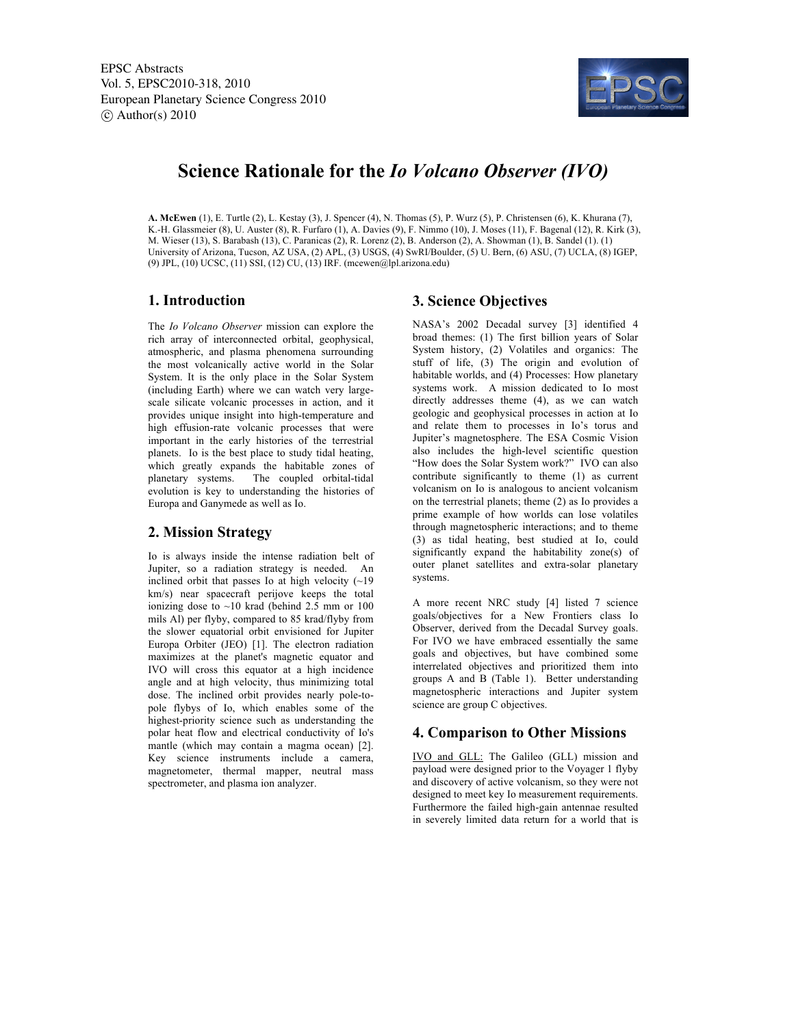

# **Science Rationale for the** *Io Volcano Observer (IVO)*

**A. McEwen** (1), E. Turtle (2), L. Kestay (3), J. Spencer (4), N. Thomas (5), P. Wurz (5), P. Christensen (6), K. Khurana (7), K.-H. Glassmeier (8), U. Auster (8), R. Furfaro (1), A. Davies (9), F. Nimmo (10), J. Moses (11), F. Bagenal (12), R. Kirk (3), M. Wieser (13), S. Barabash (13), C. Paranicas (2), R. Lorenz (2), B. Anderson (2), A. Showman (1), B. Sandel (1). (1) University of Arizona, Tucson, AZ USA, (2) APL, (3) USGS, (4) SwRI/Boulder, (5) U. Bern, (6) ASU, (7) UCLA, (8) IGEP, (9) JPL, (10) UCSC, (11) SSI, (12) CU, (13) IRF. (mcewen@lpl.arizona.edu)

## **1. Introduction**

The *Io Volcano Observer* mission can explore the rich array of interconnected orbital, geophysical, atmospheric, and plasma phenomena surrounding the most volcanically active world in the Solar System. It is the only place in the Solar System (including Earth) where we can watch very largescale silicate volcanic processes in action, and it provides unique insight into high-temperature and high effusion-rate volcanic processes that were important in the early histories of the terrestrial planets. Io is the best place to study tidal heating, which greatly expands the habitable zones of planetary systems. The coupled orbital-tidal evolution is key to understanding the histories of Europa and Ganymede as well as Io.

### **2. Mission Strategy**

Io is always inside the intense radiation belt of Jupiter, so a radiation strategy is needed. An inclined orbit that passes Io at high velocity  $(\sim 19)$ km/s) near spacecraft perijove keeps the total ionizing dose to ~10 krad (behind 2.5 mm or 100 mils Al) per flyby, compared to 85 krad/flyby from the slower equatorial orbit envisioned for Jupiter Europa Orbiter (JEO) [1]. The electron radiation maximizes at the planet's magnetic equator and IVO will cross this equator at a high incidence angle and at high velocity, thus minimizing total dose. The inclined orbit provides nearly pole-topole flybys of Io, which enables some of the highest-priority science such as understanding the polar heat flow and electrical conductivity of Io's mantle (which may contain a magma ocean) [2]. Key science instruments include a camera, magnetometer, thermal mapper, neutral mass spectrometer, and plasma ion analyzer.

### **3. Science Objectives**

NASA's 2002 Decadal survey [3] identified 4 broad themes: (1) The first billion years of Solar System history, (2) Volatiles and organics: The stuff of life, (3) The origin and evolution of habitable worlds, and (4) Processes: How planetary systems work. A mission dedicated to Io most directly addresses theme (4), as we can watch geologic and geophysical processes in action at Io and relate them to processes in Io's torus and Jupiter's magnetosphere. The ESA Cosmic Vision also includes the high-level scientific question "How does the Solar System work?" IVO can also contribute significantly to theme (1) as current volcanism on Io is analogous to ancient volcanism on the terrestrial planets; theme (2) as Io provides a prime example of how worlds can lose volatiles through magnetospheric interactions; and to theme (3) as tidal heating, best studied at Io, could significantly expand the habitability zone(s) of outer planet satellites and extra-solar planetary systems.

A more recent NRC study [4] listed 7 science goals/objectives for a New Frontiers class Io Observer, derived from the Decadal Survey goals. For IVO we have embraced essentially the same goals and objectives, but have combined some interrelated objectives and prioritized them into groups A and B (Table 1). Better understanding magnetospheric interactions and Jupiter system science are group C objectives.

### **4. Comparison to Other Missions**

IVO and GLL: The Galileo (GLL) mission and payload were designed prior to the Voyager 1 flyby and discovery of active volcanism, so they were not designed to meet key Io measurement requirements. Furthermore the failed high-gain antennae resulted in severely limited data return for a world that is